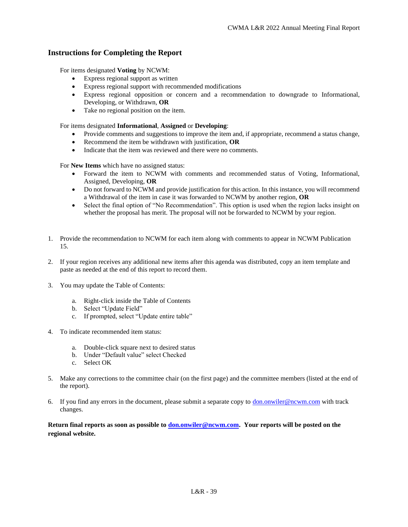#### **Instructions for Completing the Report**

For items designated **Voting** by NCWM:

- Express regional support as written
- Express regional support with recommended modifications
- Express regional opposition or concern and a recommendation to downgrade to Informational, Developing, or Withdrawn, **OR**
- Take no regional position on the item.

For items designated **Informational**, **Assigned** or **Developing**:

- Provide comments and suggestions to improve the item and, if appropriate, recommend a status change,
- Recommend the item be withdrawn with justification, **OR**
- Indicate that the item was reviewed and there were no comments.

For **New Items** which have no assigned status:

- Forward the item to NCWM with comments and recommended status of Voting, Informational, Assigned, Developing, **OR**
- Do not forward to NCWM and provide justification for this action. In this instance, you will recommend a Withdrawal of the item in case it was forwarded to NCWM by another region, **OR**
- Select the final option of "No Recommendation". This option is used when the region lacks insight on whether the proposal has merit. The proposal will not be forwarded to NCWM by your region.
- 1. Provide the recommendation to NCWM for each item along with comments to appear in NCWM Publication 15.
- 2. If your region receives any additional new items after this agenda was distributed, copy an item template and paste as needed at the end of this report to record them.
- 3. You may update the Table of Contents:
	- a. Right-click inside the Table of Contents
	- b. Select "Update Field"
	- c. If prompted, select "Update entire table"
- 4. To indicate recommended item status:
	- a. Double-click square next to desired status
	- b. Under "Default value" select Checked
	- c. Select OK
- 5. Make any corrections to the committee chair (on the first page) and the committee members (listed at the end of the report).
- 6. If you find any errors in the document, please submit a separate copy to  $\underline{\text{don}}.\text{onwiler@ncwm.com}$  with track changes.

Return final reports as soon as possible to **don.onwiler@ncwm.com.** Your reports will be posted on the **regional website.**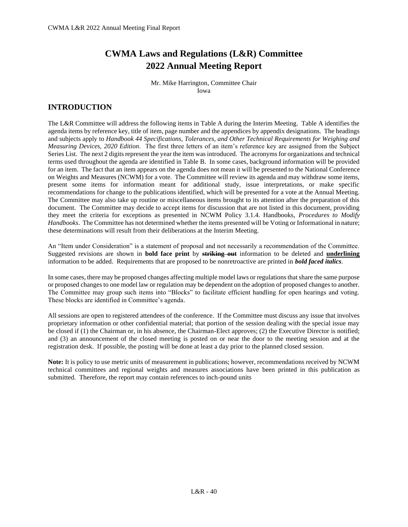# **CWMA Laws and Regulations (L&R) Committee 2022 Annual Meeting Report**

Mr. Mike Harrington, Committee Chair Iowa

## **INTRODUCTION**

The L&R Committee will address the following items in Table A during the Interim Meeting. Table A identifies the agenda items by reference key, title of item, page number and the appendices by appendix designations. The headings and subjects apply to *Handbook 44 Specifications, Tolerances, and Other Technical Requirements for Weighing and Measuring Devices, 2020 Edition*. The first three letters of an item's reference key are assigned from the Subject Series List. The next 2 digits represent the year the item was introduced. The acronyms for organizations and technical terms used throughout the agenda are identified in Table B. In some cases, background information will be provided for an item. The fact that an item appears on the agenda does not mean it will be presented to the National Conference on Weights and Measures (NCWM) for a vote. The Committee will review its agenda and may withdraw some items, present some items for information meant for additional study, issue interpretations, or make specific recommendations for change to the publications identified, which will be presented for a vote at the Annual Meeting. The Committee may also take up routine or miscellaneous items brought to its attention after the preparation of this document. The Committee may decide to accept items for discussion that are not listed in this document, providing they meet the criteria for exceptions as presented in NCWM Policy 3.1.4. Handbooks, *Procedures to Modify Handbooks*. The Committee has not determined whether the items presented will be Voting or Informational in nature; these determinations will result from their deliberations at the Interim Meeting.

An "Item under Consideration" is a statement of proposal and not necessarily a recommendation of the Committee. Suggested revisions are shown in **bold face print** by **striking out** information to be deleted and **underlining** information to be added. Requirements that are proposed to be nonretroactive are printed in *bold faced italics*.

In some cases, there may be proposed changes affecting multiple model laws or regulations that share the same purpose or proposed changes to one model law or regulation may be dependent on the adoption of proposed changes to another. The Committee may group such items into "Blocks" to facilitate efficient handling for open hearings and voting. These blocks are identified in Committee's agenda.

All sessions are open to registered attendees of the conference. If the Committee must discuss any issue that involves proprietary information or other confidential material; that portion of the session dealing with the special issue may be closed if (1) the Chairman or, in his absence, the Chairman-Elect approves; (2) the Executive Director is notified; and (3) an announcement of the closed meeting is posted on or near the door to the meeting session and at the registration desk. If possible, the posting will be done at least a day prior to the planned closed session.

**Note:** It is policy to use metric units of measurement in publications; however, recommendations received by NCWM technical committees and regional weights and measures associations have been printed in this publication as submitted. Therefore, the report may contain references to inch-pound units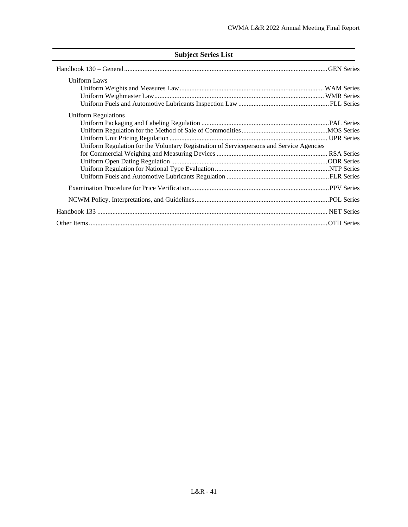## **Subject Series List**

| <b>Uniform Laws</b>                                                                      |  |
|------------------------------------------------------------------------------------------|--|
|                                                                                          |  |
|                                                                                          |  |
|                                                                                          |  |
| Uniform Regulations                                                                      |  |
|                                                                                          |  |
|                                                                                          |  |
|                                                                                          |  |
| Uniform Regulation for the Voluntary Registration of Servicepersons and Service Agencies |  |
|                                                                                          |  |
|                                                                                          |  |
|                                                                                          |  |
|                                                                                          |  |
|                                                                                          |  |
|                                                                                          |  |
|                                                                                          |  |
|                                                                                          |  |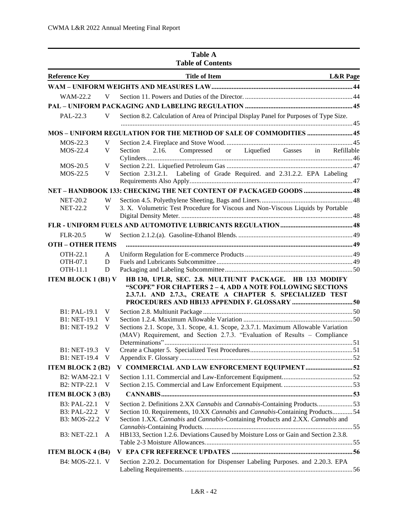|                                         | <b>Table A</b><br><b>Table of Contents</b>                                                                                                                                         |  |
|-----------------------------------------|------------------------------------------------------------------------------------------------------------------------------------------------------------------------------------|--|
| <b>Reference Key</b>                    | <b>Title of Item</b><br><b>L&amp;R</b> Page                                                                                                                                        |  |
|                                         |                                                                                                                                                                                    |  |
| WAM-22.2<br>V                           |                                                                                                                                                                                    |  |
|                                         |                                                                                                                                                                                    |  |
| PAL-22.3<br>V                           | Section 8.2. Calculation of Area of Principal Display Panel for Purposes of Type Size.                                                                                             |  |
|                                         |                                                                                                                                                                                    |  |
| MOS-22.3<br>V                           |                                                                                                                                                                                    |  |
| MOS-22.4<br>V                           | Compressed or Liquefied Gasses in Refillable<br>2.16.<br>Section                                                                                                                   |  |
| MOS-20.5<br>V                           |                                                                                                                                                                                    |  |
| MOS-22.5<br>V                           | Section 2.31.2.1. Labeling of Grade Required. and 2.31.2.2. EPA Labeling                                                                                                           |  |
|                                         |                                                                                                                                                                                    |  |
| <b>NET-20.2</b><br><b>NET-22.2</b><br>V | W<br>3. X. Volumetric Test Procedure for Viscous and Non-Viscous Liquids by Portable                                                                                               |  |
|                                         |                                                                                                                                                                                    |  |
| <b>FLR-20.5</b>                         | W                                                                                                                                                                                  |  |
| <b>OTH - OTHER ITEMS</b>                |                                                                                                                                                                                    |  |
| OTH-22.1<br>A                           |                                                                                                                                                                                    |  |
| OTH-07.1<br>D                           |                                                                                                                                                                                    |  |
| <b>OTH-11.1</b><br>D                    |                                                                                                                                                                                    |  |
| <b>ITEM BLOCK 1 (B1) V</b>              | HB 130, UPLR, SEC. 2.8. MULTIUNIT PACKAGE. HB 133 MODIFY<br>"SCOPE" FOR CHAPTERS 2 - 4, ADD A NOTE FOLLOWING SECTIONS<br>2.3.7.1. AND 2.7.3., CREATE A CHAPTER 5. SPECIALIZED TEST |  |
| B1: PAL-19.1<br>V                       |                                                                                                                                                                                    |  |
| B1: NET-19.1<br>V                       |                                                                                                                                                                                    |  |
| B1: NET-19.2<br>V                       | Sections 2.1. Scope, 3.1. Scope, 4.1. Scope, 2.3.7.1. Maximum Allowable Variation<br>(MAV) Requirement, and Section 2.7.3. "Evaluation of Results - Compliance                     |  |
| B1: NET-19.3<br>V                       |                                                                                                                                                                                    |  |
| B1: NET-19.4<br><sup>V</sup>            |                                                                                                                                                                                    |  |
| <b>ITEM BLOCK 2 (B2)</b>                | V COMMERCIAL AND LAW ENFORCEMENT EQUIPMENT52                                                                                                                                       |  |
| B2: WAM-22.1 V                          |                                                                                                                                                                                    |  |
| B2: NTP-22.1<br>$\mathbf{V}$            |                                                                                                                                                                                    |  |
| <b>ITEM BLOCK 3 (B3)</b>                |                                                                                                                                                                                    |  |
| B3: PAL-22.1<br>- V                     | Section 2. Definitions 2.XX Cannabis and Cannabis-Containing Products53                                                                                                            |  |
| B3: PAL-22.2<br>V                       | Section 10. Requirements, 10.XX Cannabis and Cannabis-Containing Products54                                                                                                        |  |
| B3: MOS-22.2<br><sup>V</sup>            | Section 1.XX. Cannabis and Cannabis-Containing Products and 2.XX. Cannabis and                                                                                                     |  |
| B3: NET-22.1<br>A                       | HB133, Section 1.2.6. Deviations Caused by Moisture Loss or Gain and Section 2.3.8.                                                                                                |  |
| <b>ITEM BLOCK 4 (B4)</b>                |                                                                                                                                                                                    |  |
| B4: MOS-22.1. V                         | Section 2.20.2. Documentation for Dispenser Labeling Purposes. and 2.20.3. EPA                                                                                                     |  |
|                                         |                                                                                                                                                                                    |  |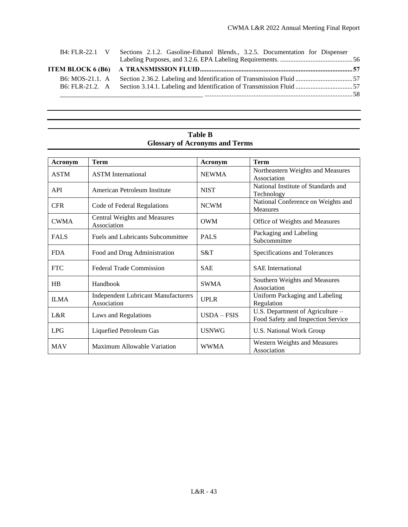| B4: FLR-22.1 V  | Sections 2.1.2. Gasoline-Ethanol Blends., 3.2.5. Documentation for Dispenser |  |
|-----------------|------------------------------------------------------------------------------|--|
|                 |                                                                              |  |
| B6: MOS-21.1. A |                                                                              |  |
|                 |                                                                              |  |
|                 |                                                                              |  |

## **Table B Glossary of Acronyms and Terms**

| Acronym     | <b>Term</b>                                               | Acronym       | <b>Term</b>                                                            |
|-------------|-----------------------------------------------------------|---------------|------------------------------------------------------------------------|
| <b>ASTM</b> | <b>ASTM</b> International                                 | <b>NEWMA</b>  | Northeastern Weights and Measures<br>Association                       |
| <b>API</b>  | American Petroleum Institute                              | <b>NIST</b>   | National Institute of Standards and<br>Technology                      |
| <b>CFR</b>  | Code of Federal Regulations                               | <b>NCWM</b>   | National Conference on Weights and<br><b>Measures</b>                  |
| <b>CWMA</b> | Central Weights and Measures<br>Association               | <b>OWM</b>    | Office of Weights and Measures                                         |
| <b>FALS</b> | <b>Fuels and Lubricants Subcommittee</b>                  | <b>PALS</b>   | Packaging and Labeling<br>Subcommittee                                 |
| <b>FDA</b>  | Food and Drug Administration                              | S&T           | Specifications and Tolerances                                          |
| <b>FTC</b>  | <b>Federal Trade Commission</b>                           | <b>SAE</b>    | <b>SAE</b> International                                               |
| HB          | Handbook                                                  | <b>SWMA</b>   | Southern Weights and Measures<br>Association                           |
| <b>ILMA</b> | <b>Independent Lubricant Manufacturers</b><br>Association | <b>UPLR</b>   | Uniform Packaging and Labeling<br>Regulation                           |
| L&R         | Laws and Regulations                                      | $USDA - FSIS$ | U.S. Department of Agriculture -<br>Food Safety and Inspection Service |
| <b>LPG</b>  | Liquefied Petroleum Gas                                   | <b>USNWG</b>  | <b>U.S. National Work Group</b>                                        |
| <b>MAV</b>  | Maximum Allowable Variation                               | <b>WWMA</b>   | Western Weights and Measures<br>Association                            |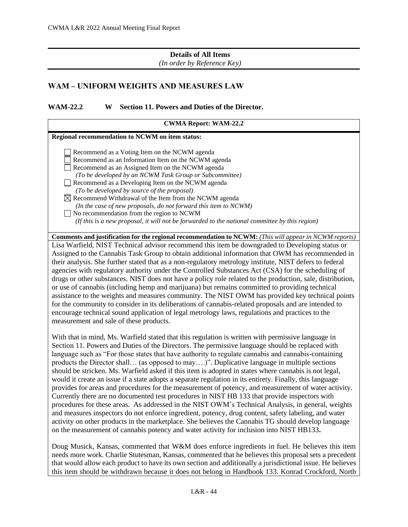#### **Details of All Items**

*(In order by Reference Key)*

#### <span id="page-5-0"></span>**WAM – UNIFORM WEIGHTS AND MEASURES LAW**

<span id="page-5-1"></span>**WAM-22.2 W Section 11. Powers and Duties of the Director.**

| <b>CWMA Report: WAM-22.2</b>                                                                                                                                                                                                                                                                                                                                                                                                                                                                                                                                                                                                                                                                                                                                                                                                                                                                                                                                                                   |
|------------------------------------------------------------------------------------------------------------------------------------------------------------------------------------------------------------------------------------------------------------------------------------------------------------------------------------------------------------------------------------------------------------------------------------------------------------------------------------------------------------------------------------------------------------------------------------------------------------------------------------------------------------------------------------------------------------------------------------------------------------------------------------------------------------------------------------------------------------------------------------------------------------------------------------------------------------------------------------------------|
| Regional recommendation to NCWM on item status:                                                                                                                                                                                                                                                                                                                                                                                                                                                                                                                                                                                                                                                                                                                                                                                                                                                                                                                                                |
| Recommend as a Voting Item on the NCWM agenda<br>Recommend as an Information Item on the NCWM agenda<br>Recommend as an Assigned Item on the NCWM agenda<br>(To be developed by an NCWM Task Group or Subcommittee)<br>Recommend as a Developing Item on the NCWM agenda<br>(To be developed by source of the proposal)<br>$\boxtimes$ Recommend Withdrawal of the Item from the NCWM agenda<br>(In the case of new proposals, do not forward this item to NCWM)<br>$\Box$ No recommendation from the region to NCWM<br>(If this is a new proposal, it will not be forwarded to the national committee by this region)                                                                                                                                                                                                                                                                                                                                                                         |
| <b>Comments and justification for the regional recommendation to NCWM:</b> (This will appear in NCWM reports)                                                                                                                                                                                                                                                                                                                                                                                                                                                                                                                                                                                                                                                                                                                                                                                                                                                                                  |
| Lisa Warfield, NIST Technical advisor recommend this item be downgraded to Developing status or<br>Assigned to the Cannabis Task Group to obtain additional information that OWM has recommended in<br>their analysis. She further stated that as a non-regulatory metrology institute, NIST defers to federal<br>agencies with regulatory authority under the Controlled Substances Act (CSA) for the scheduling of<br>drugs or other substances. NIST does not have a policy role related to the production, sale, distribution,<br>or use of cannabis (including hemp and marijuana) but remains committed to providing technical<br>assistance to the weights and measures community. The NIST OWM has provided key technical points<br>for the community to consider in its deliberations of cannabis-related proposals and are intended to<br>encourage technical sound application of legal metrology laws, regulations and practices to the<br>measurement and sale of these products. |
| With that in mind, Ms. Warfield stated that this regulation is written with permissive language in                                                                                                                                                                                                                                                                                                                                                                                                                                                                                                                                                                                                                                                                                                                                                                                                                                                                                             |

Section 11. Powers and Duties of the Directors. The permissive language should be replaced with language such as "For those states that have authority to regulate cannabis and cannabis-containing products the Director shall… (as opposed to may….)". Duplicative language in multiple sections should be stricken. Ms. Warfield asked if this item is adopted in states where cannabis is not legal, would it create an issue if a state adopts a separate regulation in its entirety. Finally, this language provides for areas and procedures for the measurement of potency, and measurement of water activity. Currently there are no documented test procedures in NIST HB 133 that provide inspectors with procedures for these areas. As addressed in the NIST OWM's Technical Analysis, in general, weights and measures inspectors do not enforce ingredient, potency, drug content, safety labeling, and water activity on other products in the marketplace. She believes the Cannabis TG should develop language on the measurement of cannabis potency and water activity for inclusion into NIST HB133**.** 

Doug Musick, Kansas, commented that W&M does enforce ingredients in fuel. He believes this item needs more work. Charlie Stutesman, Kansas, commented that he believes this proposal sets a precedent that would allow each product to have its own section and additionally a jurisdictional issue. He believes this item should be withdrawn because it does not belong in Handbook 133. Konrad Crockford, North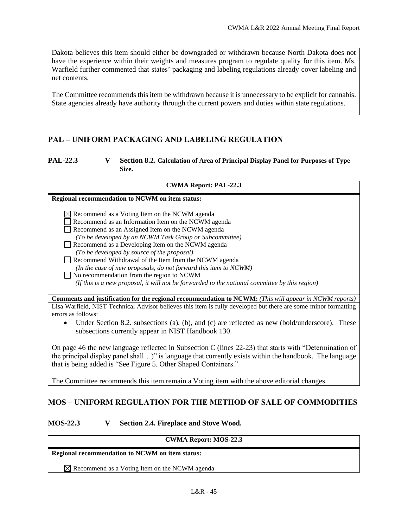Dakota believes this item should either be downgraded or withdrawn because North Dakota does not have the experience within their weights and measures program to regulate quality for this item. Ms. Warfield further commented that states' packaging and labeling regulations already cover labeling and net contents.

The Committee recommends this item be withdrawn because it is unnecessary to be explicit for cannabis. State agencies already have authority through the current powers and duties within state regulations.

## <span id="page-6-0"></span>**PAL – UNIFORM PACKAGING AND LABELING REGULATION**

#### <span id="page-6-1"></span>**PAL-22.3 V Section 8.2. Calculation of Area of Principal Display Panel for Purposes of Type Size.**

#### **CWMA Report: PAL-22.3**

#### **Regional recommendation to NCWM on item status:**

- $\boxtimes$  Recommend as a Voting Item on the NCWM agenda
- Recommend as an Information Item on the NCWM agenda
- Recommend as an Assigned Item on the NCWM agenda
- *(To be developed by an NCWM Task Group or Subcommittee)*
- Recommend as a Developing Item on the NCWM agenda
- *(To be developed by source of the proposal)*
- Recommend Withdrawal of the Item from the NCWM agenda  $\Box$
- *(In the case of new proposals, do not forward this item to NCWM)* No recommendation from the region to NCWM
	- *(If this is a new proposal, it will not be forwarded to the national committee by this region)*

**Comments and justification for the regional recommendation to NCWM:** *(This will appear in NCWM reports)*

Lisa Warfield, NIST Technical Advisor believes this item is fully developed but there are some minor formatting errors as follows:

Under Section 8.2. subsections (a), (b), and (c) are reflected as new (bold/underscore). These subsections currently appear in NIST Handbook 130.

On page 46 the new language reflected in Subsection C (lines 22-23) that starts with "Determination of the principal display panel shall…)" is language that currently exists within the handbook. The language that is being added is "See Figure 5. Other Shaped Containers."

<span id="page-6-2"></span>The Committee recommends this item remain a Voting item with the above editorial changes.

## **MOS – UNIFORM REGULATION FOR THE METHOD OF SALE OF COMMODITIES**

#### <span id="page-6-3"></span>**MOS-22.3 V Section 2.4. Fireplace and Stove Wood.**

#### **CWMA Report: MOS-22.3**

#### **Regional recommendation to NCWM on item status:**

 $\boxtimes$  Recommend as a Voting Item on the NCWM agenda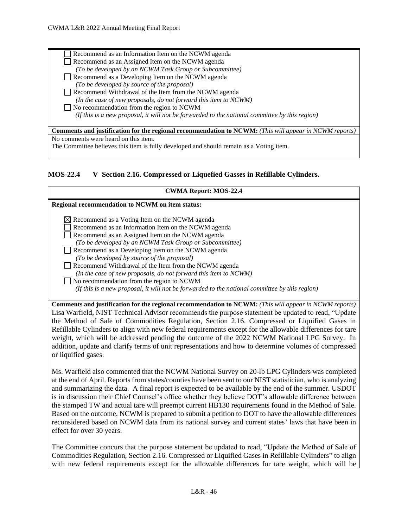or liquified gases.

Recommend as an Information Item on the NCWM agenda Recommend as an Assigned Item on the NCWM agenda *(To be developed by an NCWM Task Group or Subcommittee)* Recommend as a Developing Item on the NCWM agenda  $\Box$ *(To be developed by source of the proposal)*  Recommend Withdrawal of the Item from the NCWM agenda *(In the case of new proposals, do not forward this item to NCWM)* No recommendation from the region to NCWM  *(If this is a new proposal, it will not be forwarded to the national committee by this region)* **Comments and justification for the regional recommendation to NCWM:** *(This will appear in NCWM reports)* No comments were heard on this item. The Committee believes this item is fully developed and should remain as a Voting item.

#### <span id="page-7-0"></span>**MOS-22.4 V Section 2.16. Compressed or Liquefied Gasses in Refillable Cylinders.**

| <b>CWMA Report: MOS-22.4</b>                                                                                                                       |
|----------------------------------------------------------------------------------------------------------------------------------------------------|
| <b>Regional recommendation to NCWM on item status:</b>                                                                                             |
| $\boxtimes$ Recommend as a Voting Item on the NCWM agenda<br>Recommend as an Information Item on the NCWM agenda                                   |
| Recommend as an Assigned Item on the NCWM agenda<br>(To be developed by an NCWM Task Group or Subcommittee)                                        |
| Recommend as a Developing Item on the NCWM agenda                                                                                                  |
| (To be developed by source of the proposal)<br>Recommend Withdrawal of the Item from the NCWM agenda                                               |
| (In the case of new proposals, do not forward this item to NCWM)                                                                                   |
| $\Box$ No recommendation from the region to NCWM<br>(If this is a new proposal, it will not be forwarded to the national committee by this region) |
| <b>Comments and justification for the regional recommendation to NCWM:</b> (This will appear in NCWM reports)                                      |
| Lisa Warfield, NIST Technical Advisor recommends the purpose statement be updated to read, "Update                                                 |
| the Method of Sale of Commodities Regulation, Section 2.16. Compressed or Liquified Gases in                                                       |
| Refillable Cylinders to align with new federal requirements except for the allowable differences for tare                                          |
| weight, which will be addressed pending the outcome of the 2022 NCWM National LPG Survey. In                                                       |

Ms. Warfield also commented that the NCWM National Survey on 20-lb LPG Cylinders was completed at the end of April. Reports from states/counties have been sent to our NIST statistician, who is analyzing and summarizing the data. A final report is expected to be available by the end of the summer. USDOT is in discussion their Chief Counsel's office whether they believe DOT's allowable difference between the stamped TW and actual tare will preempt current HB130 requirements found in the Method of Sale. Based on the outcome, NCWM is prepared to submit a petition to DOT to have the allowable differences reconsidered based on NCWM data from its national survey and current states' laws that have been in effect for over 30 years.

addition, update and clarify terms of unit representations and how to determine volumes of compressed

The Committee concurs that the purpose statement be updated to read, "Update the Method of Sale of Commodities Regulation, Section 2.16. Compressed or Liquified Gases in Refillable Cylinders" to align with new federal requirements except for the allowable differences for tare weight, which will be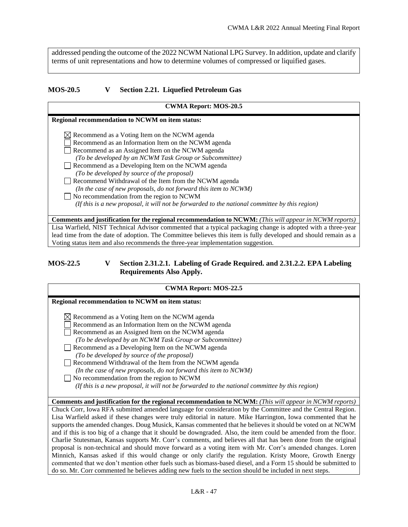addressed pending the outcome of the 2022 NCWM National LPG Survey. In addition, update and clarify terms of unit representations and how to determine volumes of compressed or liquified gases.

## <span id="page-8-0"></span>**MOS-20.5 V Section 2.21. Liquefied Petroleum Gas**

| <b>CWMA Report: MOS-20.5</b>                                                                                    |
|-----------------------------------------------------------------------------------------------------------------|
| Regional recommendation to NCWM on item status:                                                                 |
| $\boxtimes$ Recommend as a Voting Item on the NCWM agenda                                                       |
| Recommend as an Information Item on the NCWM agenda                                                             |
| Recommend as an Assigned Item on the NCWM agenda                                                                |
| (To be developed by an NCWM Task Group or Subcommittee)                                                         |
| Recommend as a Developing Item on the NCWM agenda                                                               |
| (To be developed by source of the proposal)                                                                     |
| Recommend Withdrawal of the Item from the NCWM agenda                                                           |
| (In the case of new proposals, do not forward this item to NCWM)                                                |
| No recommendation from the region to NCWM                                                                       |
| (If this is a new proposal, it will not be forwarded to the national committee by this region)                  |
|                                                                                                                 |
| <b>Comments and justification for the regional recommendation to NCWM:</b> (This will appear in NCWM reports)   |
| Lisa Warfield, NIST Technical Advisor commented that a typical packaging change is adopted with a three-year    |
| lead time from the date of adoption. The Committee believes this item is fully developed and should remain as a |
| Voting status item and also recommends the three-year implementation suggestion.                                |

#### <span id="page-8-1"></span>**MOS-22.5 V Section 2.31.2.1. Labeling of Grade Required. and 2.31.2.2. EPA Labeling Requirements Also Apply.**

| <b>CWMA Report: MOS-22.5</b>                                                                                                                                                                                                                                                                                                                                                                                                                                                                                                                                                                                                                                                                                                                                                                                                                                                                                                                                                                                                      |
|-----------------------------------------------------------------------------------------------------------------------------------------------------------------------------------------------------------------------------------------------------------------------------------------------------------------------------------------------------------------------------------------------------------------------------------------------------------------------------------------------------------------------------------------------------------------------------------------------------------------------------------------------------------------------------------------------------------------------------------------------------------------------------------------------------------------------------------------------------------------------------------------------------------------------------------------------------------------------------------------------------------------------------------|
| Regional recommendation to NCWM on item status:                                                                                                                                                                                                                                                                                                                                                                                                                                                                                                                                                                                                                                                                                                                                                                                                                                                                                                                                                                                   |
| $\boxtimes$ Recommend as a Voting Item on the NCWM agenda<br>Recommend as an Information Item on the NCWM agenda<br>Recommend as an Assigned Item on the NCWM agenda<br>(To be developed by an NCWM Task Group or Subcommittee)<br>Recommend as a Developing Item on the NCWM agenda<br>(To be developed by source of the proposal)<br>Recommend Withdrawal of the Item from the NCWM agenda<br>(In the case of new proposals, do not forward this item to NCWM)<br>$\Box$ No recommendation from the region to NCWM<br>(If this is a new proposal, it will not be forwarded to the national committee by this region)                                                                                                                                                                                                                                                                                                                                                                                                            |
| <b>Comments and justification for the regional recommendation to NCWM:</b> (This will appear in NCWM reports)                                                                                                                                                                                                                                                                                                                                                                                                                                                                                                                                                                                                                                                                                                                                                                                                                                                                                                                     |
| Chuck Corr, Iowa RFA submitted amended language for consideration by the Committee and the Central Region.<br>Lisa Warfield asked if these changes were truly editorial in nature. Mike Harrington, Iowa commented that he<br>supports the amended changes. Doug Musick, Kansas commented that he believes it should be voted on at NCWM<br>and if this is too big of a change that it should be downgraded. Also, the item could be amended from the floor.<br>Charlie Stutesman, Kansas supports Mr. Corr's comments, and believes all that has been done from the original<br>proposal is non-technical and should move forward as a voting item with Mr. Corr's amended changes. Loren<br>Minnich, Kansas asked if this would change or only clarify the regulation. Kristy Moore, Growth Energy<br>commented that we don't mention other fuels such as biomass-based diesel, and a Form 15 should be submitted to<br>do so. Mr. Corr commented he believes adding new fuels to the section should be included in next steps. |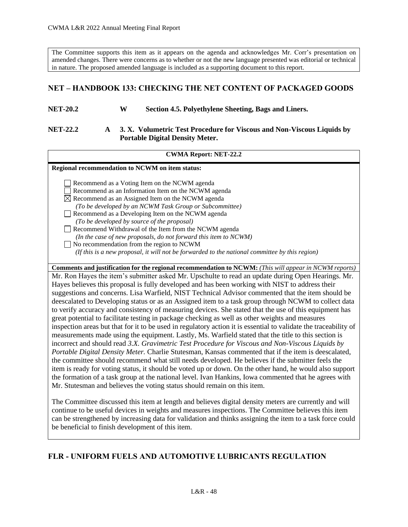The Committee supports this item as it appears on the agenda and acknowledges Mr. Corr's presentation on amended changes. There were concerns as to whether or not the new language presented was editorial or technical in nature. The proposed amended language is included as a supporting document to this report.

## <span id="page-9-0"></span>**NET – HANDBOOK 133: CHECKING THE NET CONTENT OF PACKAGED GOODS**

#### <span id="page-9-1"></span>**NET-20.2 W Section 4.5. Polyethylene Sheeting, Bags and Liners.**

#### <span id="page-9-2"></span>**NET-22.2 A 3. X. Volumetric Test Procedure for Viscous and Non-Viscous Liquids by Portable Digital Density Meter.**

#### **CWMA Report: NET-22.2**

**Regional recommendation to NCWM on item status:**

Recommend as a Voting Item on the NCWM agenda

Recommend as an Information Item on the NCWM agenda

 $\boxtimes$  Recommend as an Assigned Item on the NCWM agenda

*(To be developed by an NCWM Task Group or Subcommittee)*

Recommend as a Developing Item on the NCWM agenda *(To be developed by source of the proposal)* 

Recommend Withdrawal of the Item from the NCWM agenda

*(In the case of new proposals, do not forward this item to NCWM)*

No recommendation from the region to NCWM

 *(If this is a new proposal, it will not be forwarded to the national committee by this region)*

**Comments and justification for the regional recommendation to NCWM:** *(This will appear in NCWM reports)* Mr. Ron Hayes the item's submitter asked Mr. Upschulte to read an update during Open Hearings. Mr. Hayes believes this proposal is fully developed and has been working with NIST to address their suggestions and concerns. Lisa Warfield, NIST Technical Advisor commented that the item should be deescalated to Developing status or as an Assigned item to a task group through NCWM to collect data to verify accuracy and consistency of measuring devices. She stated that the use of this equipment has great potential to facilitate testing in package checking as well as other weights and measures inspection areas but that for it to be used in regulatory action it is essential to validate the traceability of measurements made using the equipment. Lastly, Ms. Warfield stated that the title to this section is incorrect and should read *3.X. Gravimetric Test Procedure for Viscous and Non-Viscous Liquids by Portable Digital Density Meter.* Charlie Stutesman, Kansas commented that if the item is deescalated, the committee should recommend what still needs developed. He believes if the submitter feels the item is ready for voting status, it should be voted up or down. On the other hand, he would also support the formation of a task group at the national level. Ivan Hankins, Iowa commented that he agrees with Mr. Stutesman and believes the voting status should remain on this item.

The Committee discussed this item at length and believes digital density meters are currently and will continue to be useful devices in weights and measures inspections. The Committee believes this item can be strengthened by increasing data for validation and thinks assigning the item to a task force could be beneficial to finish development of this item.

## <span id="page-9-3"></span>**FLR - UNIFORM FUELS AND AUTOMOTIVE LUBRICANTS REGULATION**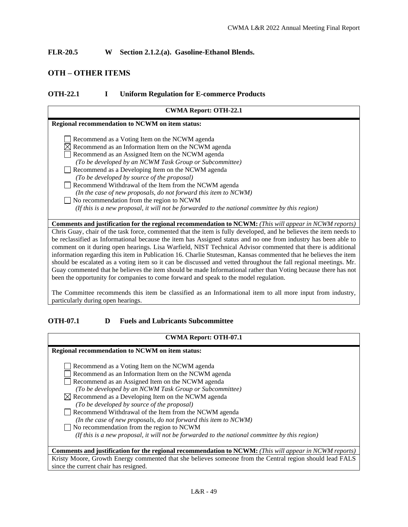<span id="page-10-0"></span>**FLR-20.5 W Section 2.1.2.(a). Gasoline-Ethanol Blends.**

## <span id="page-10-1"></span>**OTH – OTHER ITEMS**

#### <span id="page-10-2"></span>**OTH-22.1 I Uniform Regulation for E-commerce Products**

| <b>CWMA Report: OTH-22.1</b>                                                                                       |
|--------------------------------------------------------------------------------------------------------------------|
| <b>Regional recommendation to NCWM on item status:</b>                                                             |
| Recommend as a Voting Item on the NCWM agenda                                                                      |
| $\boxtimes$ Recommend as an Information Item on the NCWM agenda                                                    |
| Recommend as an Assigned Item on the NCWM agenda                                                                   |
| (To be developed by an NCWM Task Group or Subcommittee)                                                            |
| Recommend as a Developing Item on the NCWM agenda                                                                  |
| (To be developed by source of the proposal)                                                                        |
| Recommend Withdrawal of the Item from the NCWM agenda                                                              |
| (In the case of new proposals, do not forward this item to NCWM)                                                   |
| No recommendation from the region to NCWM                                                                          |
| (If this is a new proposal, it will not be forwarded to the national committee by this region)                     |
|                                                                                                                    |
| <b>Comments and justification for the regional recommendation to NCWM:</b> (This will appear in NCWM reports)      |
| Chris Guay, chair of the task force, commented that the item is fully developed, and he believes the item needs to |
| be reclassified as Informational because the item has Assigned status and no one from industry has been able to    |
| comment on it during open hearings. Lisa Warfield, NIST Technical Advisor commented that there is additional       |
| information regarding this item in Publication 16. Charlie Stutesman, Kansas commented that he believes the item   |
| should be escalated as a voting item so it can be discussed and vetted throughout the fall regional meetings. Mr.  |
| Guay commented that he believes the item should be made Informational rather than Voting because there has not     |

The Committee recommends this item be classified as an Informational item to all more input from industry, particularly during open hearings.

#### <span id="page-10-3"></span>**OTH-07.1 D Fuels and Lubricants Subcommittee**

been the opportunity for companies to come forward and speak to the model regulation.

#### **CWMA Report: OTH-07.1**

| Regional recommendation to NCWM on item status:                                                               |
|---------------------------------------------------------------------------------------------------------------|
|                                                                                                               |
| Recommend as a Voting Item on the NCWM agenda                                                                 |
| Recommend as an Information Item on the NCWM agenda                                                           |
| Recommend as an Assigned Item on the NCWM agenda                                                              |
| (To be developed by an NCWM Task Group or Subcommittee)                                                       |
| $\boxtimes$ Recommend as a Developing Item on the NCWM agenda                                                 |
| (To be developed by source of the proposal)                                                                   |
| Recommend Withdrawal of the Item from the NCWM agenda                                                         |
| (In the case of new proposals, do not forward this item to NCWM)                                              |
| $\Box$ No recommendation from the region to NCWM                                                              |
| (If this is a new proposal, it will not be forwarded to the national committee by this region)                |
|                                                                                                               |
| <b>Comments and justification for the regional recommendation to NCWM:</b> (This will appear in NCWM reports) |
| Kristy Moore, Growth Energy commented that she believes someone from the Central region should lead FALS      |
| since the current chair has resigned.                                                                         |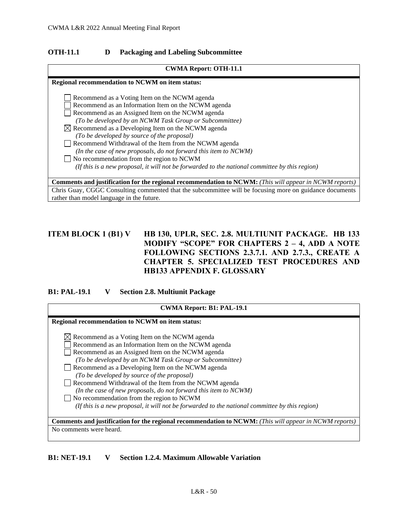#### <span id="page-11-0"></span>**OTH-11.1 D Packaging and Labeling Subcommittee**

| <b>CWMA Report: OTH-11.1</b>                                                                                                                                                                                                                                                                                                                                                                                                                                                                                                                                                                                    |
|-----------------------------------------------------------------------------------------------------------------------------------------------------------------------------------------------------------------------------------------------------------------------------------------------------------------------------------------------------------------------------------------------------------------------------------------------------------------------------------------------------------------------------------------------------------------------------------------------------------------|
| Regional recommendation to NCWM on item status:                                                                                                                                                                                                                                                                                                                                                                                                                                                                                                                                                                 |
| Recommend as a Voting Item on the NCWM agenda<br>Recommend as an Information Item on the NCWM agenda<br>Recommend as an Assigned Item on the NCWM agenda<br>(To be developed by an NCWM Task Group or Subcommittee)<br>$\boxtimes$ Recommend as a Developing Item on the NCWM agenda<br>(To be developed by source of the proposal)<br>Recommend Withdrawal of the Item from the NCWM agenda<br>(In the case of new proposals, do not forward this item to NCWM)<br>No recommendation from the region to NCWM<br>(If this is a new proposal, it will not be forwarded to the national committee by this region) |
|                                                                                                                                                                                                                                                                                                                                                                                                                                                                                                                                                                                                                 |
| <b>Comments and justification for the regional recommendation to NCWM:</b> (This will appear in NCWM reports)                                                                                                                                                                                                                                                                                                                                                                                                                                                                                                   |
| Chris Guay, CGGC Consulting commented that the subcommittee will be focusing more on guidance documents                                                                                                                                                                                                                                                                                                                                                                                                                                                                                                         |
| rather than model language in the future.                                                                                                                                                                                                                                                                                                                                                                                                                                                                                                                                                                       |

## <span id="page-11-1"></span>**ITEM BLOCK 1 (B1) V HB 130, UPLR, SEC. 2.8. MULTIUNIT PACKAGE. HB 133 MODIFY "SCOPE" FOR CHAPTERS 2 – 4, ADD A NOTE FOLLOWING SECTIONS 2.3.7.1. AND 2.7.3., CREATE A CHAPTER 5. SPECIALIZED TEST PROCEDURES AND HB133 APPENDIX F. GLOSSARY**

#### <span id="page-11-2"></span>**B1: PAL-19.1 V Section 2.8. Multiunit Package**

| <b>CWMA Report: B1: PAL-19.1</b>                                                                                                                                                                                                                                                                                                                                                                                                                                                                                                                                                                                |
|-----------------------------------------------------------------------------------------------------------------------------------------------------------------------------------------------------------------------------------------------------------------------------------------------------------------------------------------------------------------------------------------------------------------------------------------------------------------------------------------------------------------------------------------------------------------------------------------------------------------|
| <b>Regional recommendation to NCWM on item status:</b>                                                                                                                                                                                                                                                                                                                                                                                                                                                                                                                                                          |
| $\boxtimes$ Recommend as a Voting Item on the NCWM agenda<br>Recommend as an Information Item on the NCWM agenda<br>Recommend as an Assigned Item on the NCWM agenda<br>(To be developed by an NCWM Task Group or Subcommittee)<br>Recommend as a Developing Item on the NCWM agenda<br>(To be developed by source of the proposal)<br>Recommend Withdrawal of the Item from the NCWM agenda<br>(In the case of new proposals, do not forward this item to NCWM)<br>No recommendation from the region to NCWM<br>(If this is a new proposal, it will not be forwarded to the national committee by this region) |
| <b>Comments and justification for the regional recommendation to NCWM:</b> (This will appear in NCWM reports)                                                                                                                                                                                                                                                                                                                                                                                                                                                                                                   |
| No comments were heard.                                                                                                                                                                                                                                                                                                                                                                                                                                                                                                                                                                                         |

#### <span id="page-11-3"></span>**B1: NET-19.1 V Section 1.2.4. Maximum Allowable Variation**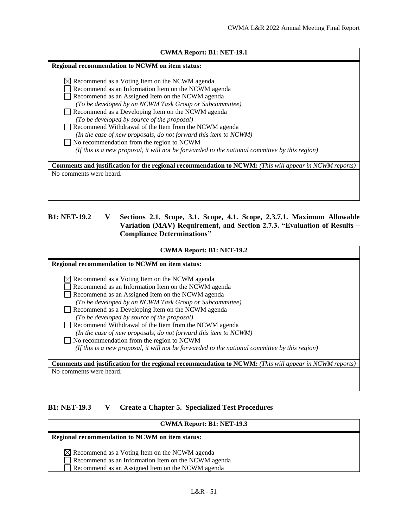|  | <b>CWMA Report: B1: NET-19.1</b> |  |
|--|----------------------------------|--|
|--|----------------------------------|--|

**Regional recommendation to NCWM on item status:**

| $\boxtimes$ Recommend as a Voting Item on the NCWM agenda                                                     |
|---------------------------------------------------------------------------------------------------------------|
| Recommend as an Information Item on the NCWM agenda                                                           |
| Recommend as an Assigned Item on the NCWM agenda                                                              |
| (To be developed by an NCWM Task Group or Subcommittee)                                                       |
| Recommend as a Developing Item on the NCWM agenda                                                             |
| (To be developed by source of the proposal)                                                                   |
| Recommend Withdrawal of the Item from the NCWM agenda                                                         |
| (In the case of new proposals, do not forward this item to NCWM)                                              |
| No recommendation from the region to NCWM<br>$\blacksquare$                                                   |
| (If this is a new proposal, it will not be forwarded to the national committee by this region)                |
|                                                                                                               |
| <b>Comments and justification for the regional recommendation to NCWM:</b> (This will appear in NCWM reports) |
| No comments were heard.                                                                                       |
|                                                                                                               |

## <span id="page-12-0"></span>**B1: NET-19.2 V Sections 2.1. Scope, 3.1. Scope, 4.1. Scope, 2.3.7.1. Maximum Allowable Variation (MAV) Requirement, and Section 2.7.3. "Evaluation of Results – Compliance Determinations"**

| <b>CWMA Report: B1: NET-19.2</b>                                                                                                                                                                                                                                                                                                                                                             |  |  |
|----------------------------------------------------------------------------------------------------------------------------------------------------------------------------------------------------------------------------------------------------------------------------------------------------------------------------------------------------------------------------------------------|--|--|
| <b>Regional recommendation to NCWM on item status:</b>                                                                                                                                                                                                                                                                                                                                       |  |  |
| $\boxtimes$ Recommend as a Voting Item on the NCWM agenda<br>Recommend as an Information Item on the NCWM agenda<br>Recommend as an Assigned Item on the NCWM agenda<br>(To be developed by an NCWM Task Group or Subcommittee)<br>Recommend as a Developing Item on the NCWM agenda<br>(To be developed by source of the proposal)<br>Recommend Withdrawal of the Item from the NCWM agenda |  |  |
| (In the case of new proposals, do not forward this item to NCWM)<br>No recommendation from the region to NCWM<br>(If this is a new proposal, it will not be forwarded to the national committee by this region)                                                                                                                                                                              |  |  |
| <b>Comments and justification for the regional recommendation to NCWM:</b> (This will appear in NCWM reports)                                                                                                                                                                                                                                                                                |  |  |
| No comments were heard.                                                                                                                                                                                                                                                                                                                                                                      |  |  |

#### <span id="page-12-1"></span>**B1: NET-19.3 V Create a Chapter 5. Specialized Test Procedures**

#### **CWMA Report: B1: NET-19.3**

# **Regional recommendation to NCWM on item status:**  $\boxed{\triangle}$  Recommend as a Voting Item on the NCWM agenda Recommend as an Information Item on the NCWM agenda Recommend as an Assigned Item on the NCWM agenda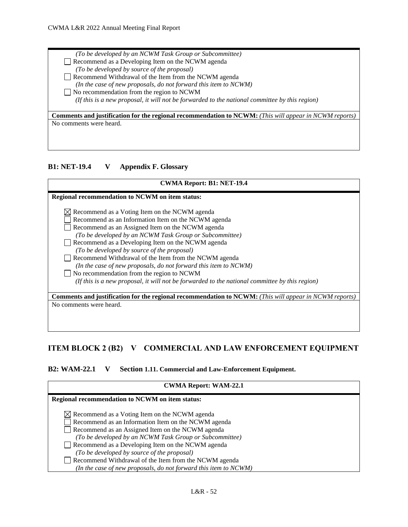*(To be developed by an NCWM Task Group or Subcommittee)* Recommend as a Developing Item on the NCWM agenda *(To be developed by source of the proposal)*  Recommend Withdrawal of the Item from the NCWM agenda *(In the case of new proposals, do not forward this item to NCWM)* No recommendation from the region to NCWM  *(If this is a new proposal, it will not be forwarded to the national committee by this region)*

**Comments and justification for the regional recommendation to NCWM:** *(This will appear in NCWM reports)* No comments were heard.

#### <span id="page-13-0"></span>**B1: NET-19.4 V Appendix F. Glossary**

# **CWMA Report: B1: NET-19.4**

**Regional recommendation to NCWM on item status:**

 $\boxtimes$  Recommend as a Voting Item on the NCWM agenda

Recommend as an Information Item on the NCWM agenda

Recommend as an Assigned Item on the NCWM agenda

*(To be developed by an NCWM Task Group or Subcommittee)*

- Recommend as a Developing Item on the NCWM agenda *(To be developed by source of the proposal)*
- Recommend Withdrawal of the Item from the NCWM agenda

*(In the case of new proposals, do not forward this item to NCWM)*

No recommendation from the region to NCWM

 *(If this is a new proposal, it will not be forwarded to the national committee by this region)*

**Comments and justification for the regional recommendation to NCWM:** *(This will appear in NCWM reports)* No comments were heard.

## <span id="page-13-1"></span>**ITEM BLOCK 2 (B2) V COMMERCIAL AND LAW ENFORCEMENT EQUIPMENT**

<span id="page-13-2"></span>**B2: WAM-22.1 V Section 1.11. Commercial and Law-Enforcement Equipment.**

| <b>CWMA Report: WAM-22.1</b>                                     |  |  |
|------------------------------------------------------------------|--|--|
| <b>Regional recommendation to NCWM on item status:</b>           |  |  |
| $\boxtimes$ Recommend as a Voting Item on the NCWM agenda        |  |  |
| Recommend as an Information Item on the NCWM agenda              |  |  |
| Recommend as an Assigned Item on the NCWM agenda                 |  |  |
| (To be developed by an NCWM Task Group or Subcommittee)          |  |  |
| Recommend as a Developing Item on the NCWM agenda                |  |  |
| (To be developed by source of the proposal)                      |  |  |
| Recommend Withdrawal of the Item from the NCWM agenda            |  |  |
| (In the case of new proposals, do not forward this item to NCWM) |  |  |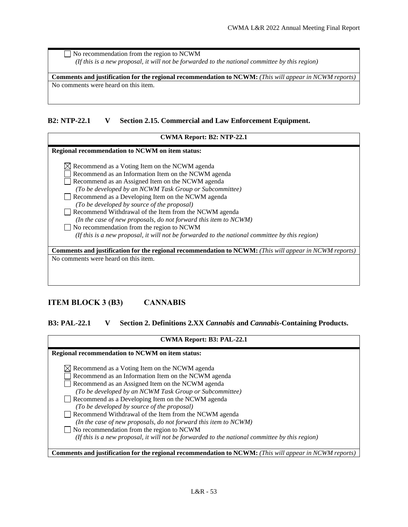No recommendation from the region to NCWM  *(If this is a new proposal, it will not be forwarded to the national committee by this region)*

**Comments and justification for the regional recommendation to NCWM:** *(This will appear in NCWM reports)* No comments were heard on this item.

#### <span id="page-14-0"></span>**B2: NTP-22.1 V Section 2.15. Commercial and Law Enforcement Equipment.**

| <b>CWMA Report: B2: NTP-22.1</b>                                                                              |  |  |  |
|---------------------------------------------------------------------------------------------------------------|--|--|--|
|                                                                                                               |  |  |  |
| Regional recommendation to NCWM on item status:                                                               |  |  |  |
| $\boxtimes$ Recommend as a Voting Item on the NCWM agenda                                                     |  |  |  |
| Recommend as an Information Item on the NCWM agenda                                                           |  |  |  |
| Recommend as an Assigned Item on the NCWM agenda                                                              |  |  |  |
| (To be developed by an NCWM Task Group or Subcommittee)                                                       |  |  |  |
| Recommend as a Developing Item on the NCWM agenda                                                             |  |  |  |
| (To be developed by source of the proposal)                                                                   |  |  |  |
| Recommend Withdrawal of the Item from the NCWM agenda                                                         |  |  |  |
| (In the case of new proposals, do not forward this item to NCWM)                                              |  |  |  |
| No recommendation from the region to NCWM                                                                     |  |  |  |
| (If this is a new proposal, it will not be forwarded to the national committee by this region)                |  |  |  |
|                                                                                                               |  |  |  |
| <b>Comments and justification for the regional recommendation to NCWM:</b> (This will appear in NCWM reports) |  |  |  |
| No comments were heard on this item.                                                                          |  |  |  |
|                                                                                                               |  |  |  |

## <span id="page-14-1"></span>**ITEM BLOCK 3 (B3) CANNABIS**

<span id="page-14-2"></span>**B3: PAL-22.1 V Section 2. Definitions 2.XX** *Cannabis* **and** *Cannabis***-Containing Products.**

| <b>CWMA Report: B3: PAL-22.1</b>                                                                                                                                       |  |
|------------------------------------------------------------------------------------------------------------------------------------------------------------------------|--|
| Regional recommendation to NCWM on item status:                                                                                                                        |  |
| $\boxtimes$ Recommend as a Voting Item on the NCWM agenda<br>Recommend as an Information Item on the NCWM agenda<br>Recommend as an Assigned Item on the NCWM agenda   |  |
| (To be developed by an NCWM Task Group or Subcommittee)<br>Recommend as a Developing Item on the NCWM agenda<br>(To be developed by source of the proposal)            |  |
| Recommend Withdrawal of the Item from the NCWM agenda<br>(In the case of new proposals, do not forward this item to NCWM)<br>No recommendation from the region to NCWM |  |
| (If this is a new proposal, it will not be forwarded to the national committee by this region)                                                                         |  |
| <b>Comments and justification for the regional recommendation to NCWM:</b> (This will appear in NCWM reports)                                                          |  |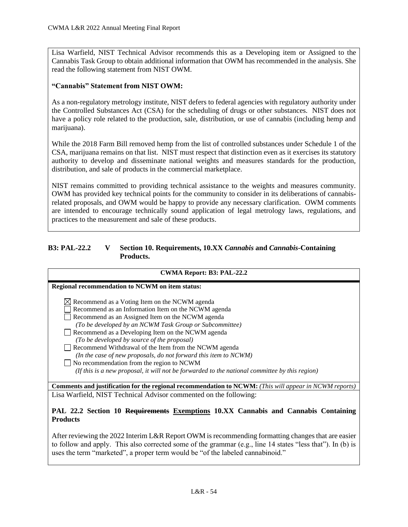Lisa Warfield, NIST Technical Advisor recommends this as a Developing item or Assigned to the Cannabis Task Group to obtain additional information that OWM has recommended in the analysis. She read the following statement from NIST OWM.

#### **"Cannabis" Statement from NIST OWM:**

As a non-regulatory metrology institute, NIST defers to federal agencies with regulatory authority under the Controlled Substances Act (CSA) for the scheduling of drugs or other substances. NIST does not have a policy role related to the production, sale, distribution, or use of cannabis (including hemp and marijuana).

While the 2018 Farm Bill removed hemp from the list of controlled substances under Schedule 1 of the CSA, marijuana remains on that list. NIST must respect that distinction even as it exercises its statutory authority to develop and disseminate national weights and measures standards for the production, distribution, and sale of products in the commercial marketplace.

NIST remains committed to providing technical assistance to the weights and measures community. OWM has provided key technical points for the community to consider in its deliberations of cannabisrelated proposals, and OWM would be happy to provide any necessary clarification. OWM comments are intended to encourage technically sound application of legal metrology laws, regulations, and practices to the measurement and sale of these products.

#### <span id="page-15-0"></span>**B3: PAL-22.2 V Section 10. Requirements, 10.XX** *Cannabis* **and** *Cannabis***-Containing Products.**

| <b>CWMA Report: B3: PAL-22.2</b>                                                                                                                                                                                                                                                                                                                                                                                                                                                                                                                                                                                       |  |
|------------------------------------------------------------------------------------------------------------------------------------------------------------------------------------------------------------------------------------------------------------------------------------------------------------------------------------------------------------------------------------------------------------------------------------------------------------------------------------------------------------------------------------------------------------------------------------------------------------------------|--|
| Regional recommendation to NCWM on item status:                                                                                                                                                                                                                                                                                                                                                                                                                                                                                                                                                                        |  |
| $\boxtimes$ Recommend as a Voting Item on the NCWM agenda<br>Recommend as an Information Item on the NCWM agenda<br>Recommend as an Assigned Item on the NCWM agenda<br>(To be developed by an NCWM Task Group or Subcommittee)<br>Recommend as a Developing Item on the NCWM agenda<br>(To be developed by source of the proposal)<br>Recommend Withdrawal of the Item from the NCWM agenda<br>(In the case of new proposals, do not forward this item to NCWM)<br>$\Box$ No recommendation from the region to NCWM<br>(If this is a new proposal, it will not be forwarded to the national committee by this region) |  |
| <b>Comments and justification for the regional recommendation to NCWM:</b> (This will appear in NCWM reports)                                                                                                                                                                                                                                                                                                                                                                                                                                                                                                          |  |
| Lisa Warfield, NIST Technical Advisor commented on the following:                                                                                                                                                                                                                                                                                                                                                                                                                                                                                                                                                      |  |
| PAL 22.2 Section 10 Requirements Exemptions 10.XX Cannabis and Cannabis Containing<br><b>Products</b>                                                                                                                                                                                                                                                                                                                                                                                                                                                                                                                  |  |
| After reviewing the 2022 Interim L&R Report OWM is recommending formatting changes that are easier<br>to follow and apply. This also corrected some of the grammar (e.g., line 14 states "less that"). In (b) is<br>uses the term "marketed", a proper term would be "of the labeled cannabinoid."                                                                                                                                                                                                                                                                                                                     |  |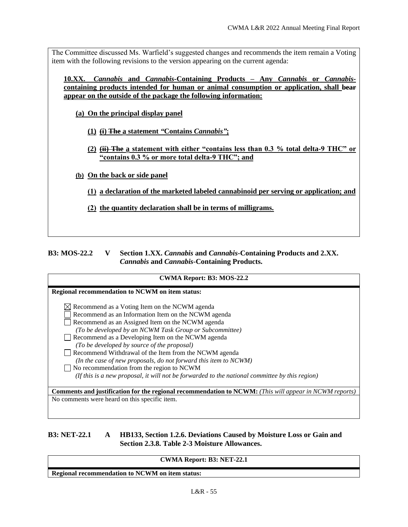The Committee discussed Ms. Warfield's suggested changes and recommends the item remain a Voting item with the following revisions to the version appearing on the current agenda:

**10.XX.** *Cannabis* **and** *Cannabis-***Containing Products** *–* **Any** *Cannabis* **or** *Cannabis***containing products intended for human or animal consumption or application, shall bear** appear on the outside of the package the following information:

**(a) On the principal display panel** 

- **(1) (i) The a statement** *"***Contains** *Cannabis"***;**
- **(2) (ii) The a statement with either "contains less than 0.3 % total delta-9 THC" or "contains 0.3 % or more total delta-9 THC"; and**

**(b) On the back or side panel** 

- **(1) a declaration of the marketed labeled cannabinoid per serving or application; and**
- **(2) the quantity declaration shall be in terms of milligrams.**

<span id="page-16-0"></span>**B3: MOS-22.2 V Section 1.XX.** *Cannabis* **and** *Cannabis***-Containing Products and 2.XX.**  *Cannabis* **and** *Cannabis***-Containing Products.**

## **CWMA Report: B3: MOS-22.2 Regional recommendation to NCWM on item status:**  $\boxtimes$  Recommend as a Voting Item on the NCWM agenda Recommend as an Information Item on the NCWM agenda Recommend as an Assigned Item on the NCWM agenda *(To be developed by an NCWM Task Group or Subcommittee)* Recommend as a Developing Item on the NCWM agenda *(To be developed by source of the proposal)*  Recommend Withdrawal of the Item from the NCWM agenda *(In the case of new proposals, do not forward this item to NCWM)* No recommendation from the region to NCWM  *(If this is a new proposal, it will not be forwarded to the national committee by this region)* **Comments and justification for the regional recommendation to NCWM:** *(This will appear in NCWM reports)* No comments were heard on this specific item.

<span id="page-16-1"></span>**B3: NET-22.1 A HB133, Section 1.2.6. Deviations Caused by Moisture Loss or Gain and Section 2.3.8. Table 2-3 Moisture Allowances.**

#### **CWMA Report: B3: NET-22.1**

**Regional recommendation to NCWM on item status:**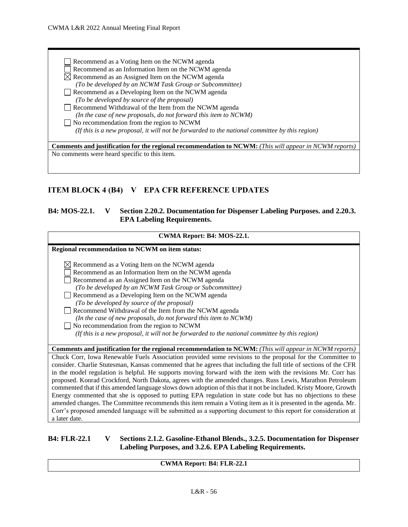Recommend as a Voting Item on the NCWM agenda Recommend as an Information Item on the NCWM agenda  $\boxtimes$  Recommend as an Assigned Item on the NCWM agenda *(To be developed by an NCWM Task Group or Subcommittee)* Recommend as a Developing Item on the NCWM agenda *(To be developed by source of the proposal)*  Recommend Withdrawal of the Item from the NCWM agenda *(In the case of new proposals, do not forward this item to NCWM)* No recommendation from the region to NCWM  *(If this is a new proposal, it will not be forwarded to the national committee by this region)* **Comments and justification for the regional recommendation to NCWM:** *(This will appear in NCWM reports)*

No comments were heard specific to this item.

## <span id="page-17-0"></span>**ITEM BLOCK 4 (B4) V EPA CFR REFERENCE UPDATES**

#### <span id="page-17-1"></span>**B4: MOS-22.1. V Section 2.20.2. Documentation for Dispenser Labeling Purposes. and 2.20.3. EPA Labeling Requirements.**

| CWMA Report: B4: MOS-22.1.                                                                                                                                                                                                                                                                                                                                                                                                                                                                                                                                                                                                                                                                                                                                                                                                                                                                                                                            |
|-------------------------------------------------------------------------------------------------------------------------------------------------------------------------------------------------------------------------------------------------------------------------------------------------------------------------------------------------------------------------------------------------------------------------------------------------------------------------------------------------------------------------------------------------------------------------------------------------------------------------------------------------------------------------------------------------------------------------------------------------------------------------------------------------------------------------------------------------------------------------------------------------------------------------------------------------------|
| Regional recommendation to NCWM on item status:                                                                                                                                                                                                                                                                                                                                                                                                                                                                                                                                                                                                                                                                                                                                                                                                                                                                                                       |
| $\boxtimes$ Recommend as a Voting Item on the NCWM agenda<br>Recommend as an Information Item on the NCWM agenda<br>Recommend as an Assigned Item on the NCWM agenda<br>(To be developed by an NCWM Task Group or Subcommittee)<br>Recommend as a Developing Item on the NCWM agenda<br>(To be developed by source of the proposal)<br>Recommend Withdrawal of the Item from the NCWM agenda<br>(In the case of new proposals, do not forward this item to NCWM)<br>No recommendation from the region to NCWM<br>(If this is a new proposal, it will not be forwarded to the national committee by this region)                                                                                                                                                                                                                                                                                                                                       |
| <b>Comments and justification for the regional recommendation to NCWM:</b> (This will appear in NCWM reports)                                                                                                                                                                                                                                                                                                                                                                                                                                                                                                                                                                                                                                                                                                                                                                                                                                         |
| Chuck Corr, Iowa Renewable Fuels Association provided some revisions to the proposal for the Committee to<br>consider. Charlie Stutesman, Kansas commented that he agrees that including the full title of sections of the CFR<br>in the model regulation is helpful. He supports moving forward with the item with the revisions Mr. Corr has<br>proposed. Konrad Crockford, North Dakota, agrees with the amended changes. Russ Lewis, Marathon Petroleum<br>commented that if this amended language slows down adoption of this that it not be included. Kristy Moore, Growth<br>Energy commented that she is opposed to putting EPA regulation in state code but has no objections to these<br>amended changes. The Committee recommends this item remain a Voting item as it is presented in the agenda. Mr.<br>Corr's proposed amended language will be submitted as a supporting document to this report for consideration at<br>a later date. |

#### <span id="page-17-2"></span>**B4: FLR-22.1 V Sections 2.1.2. Gasoline-Ethanol Blends., 3.2.5. Documentation for Dispenser Labeling Purposes, and 3.2.6. EPA Labeling Requirements.**

#### **CWMA Report: B4: FLR-22.1**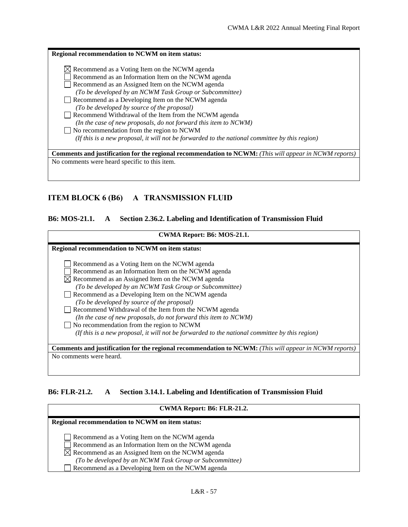| Regional recommendation to NCWM on item status:                                                                                                                                                                                                                                                                                                                                                                                                                                                                      |
|----------------------------------------------------------------------------------------------------------------------------------------------------------------------------------------------------------------------------------------------------------------------------------------------------------------------------------------------------------------------------------------------------------------------------------------------------------------------------------------------------------------------|
| $\boxtimes$ Recommend as a Voting Item on the NCWM agenda<br>Recommend as an Information Item on the NCWM agenda<br>Recommend as an Assigned Item on the NCWM agenda<br>(To be developed by an NCWM Task Group or Subcommittee)<br>Recommend as a Developing Item on the NCWM agenda<br>(To be developed by source of the proposal)<br>Recommend Withdrawal of the Item from the NCWM agenda<br>(In the case of new proposals, do not forward this item to NCWM)<br>$\Box$ No recommendation from the region to NCWM |
| (If this is a new proposal, it will not be forwarded to the national committee by this region)                                                                                                                                                                                                                                                                                                                                                                                                                       |
| <b>Comments and justification for the regional recommendation to NCWM:</b> (This will appear in NCWM reports)                                                                                                                                                                                                                                                                                                                                                                                                        |
| No comments were heard specific to this item.                                                                                                                                                                                                                                                                                                                                                                                                                                                                        |

## <span id="page-18-0"></span>**ITEM BLOCK 6 (B6) A TRANSMISSION FLUID**

## <span id="page-18-1"></span>**B6: MOS-21.1. A Section 2.36.2. Labeling and Identification of Transmission Fluid**

| CWMA Report: B6: MOS-21.1.                                                                                    |  |  |
|---------------------------------------------------------------------------------------------------------------|--|--|
| Regional recommendation to NCWM on item status:                                                               |  |  |
| Recommend as a Voting Item on the NCWM agenda                                                                 |  |  |
| Recommend as an Information Item on the NCWM agenda                                                           |  |  |
| $\boxtimes$ Recommend as an Assigned Item on the NCWM agenda                                                  |  |  |
| (To be developed by an NCWM Task Group or Subcommittee)                                                       |  |  |
| Recommend as a Developing Item on the NCWM agenda                                                             |  |  |
| (To be developed by source of the proposal)                                                                   |  |  |
| Recommend Withdrawal of the Item from the NCWM agenda                                                         |  |  |
| (In the case of new proposals, do not forward this item to NCWM)                                              |  |  |
| No recommendation from the region to NCWM                                                                     |  |  |
| (If this is a new proposal, it will not be forwarded to the national committee by this region)                |  |  |
|                                                                                                               |  |  |
| <b>Comments and justification for the regional recommendation to NCWM:</b> (This will appear in NCWM reports) |  |  |
| No comments were heard.                                                                                       |  |  |
|                                                                                                               |  |  |
|                                                                                                               |  |  |

#### <span id="page-18-2"></span>**B6: FLR-21.2. A Section 3.14.1. Labeling and Identification of Transmission Fluid**

| CWMA Report: B6: FLR-21.2.                                                                                                                                                                                                                                                           |  |  |  |
|--------------------------------------------------------------------------------------------------------------------------------------------------------------------------------------------------------------------------------------------------------------------------------------|--|--|--|
| <b>Regional recommendation to NCWM on item status:</b>                                                                                                                                                                                                                               |  |  |  |
| Recommend as a Voting Item on the NCWM agenda<br>Recommend as an Information Item on the NCWM agenda<br>$\boxtimes$ Recommend as an Assigned Item on the NCWM agenda<br>(To be developed by an NCWM Task Group or Subcommittee)<br>Recommend as a Developing Item on the NCWM agenda |  |  |  |